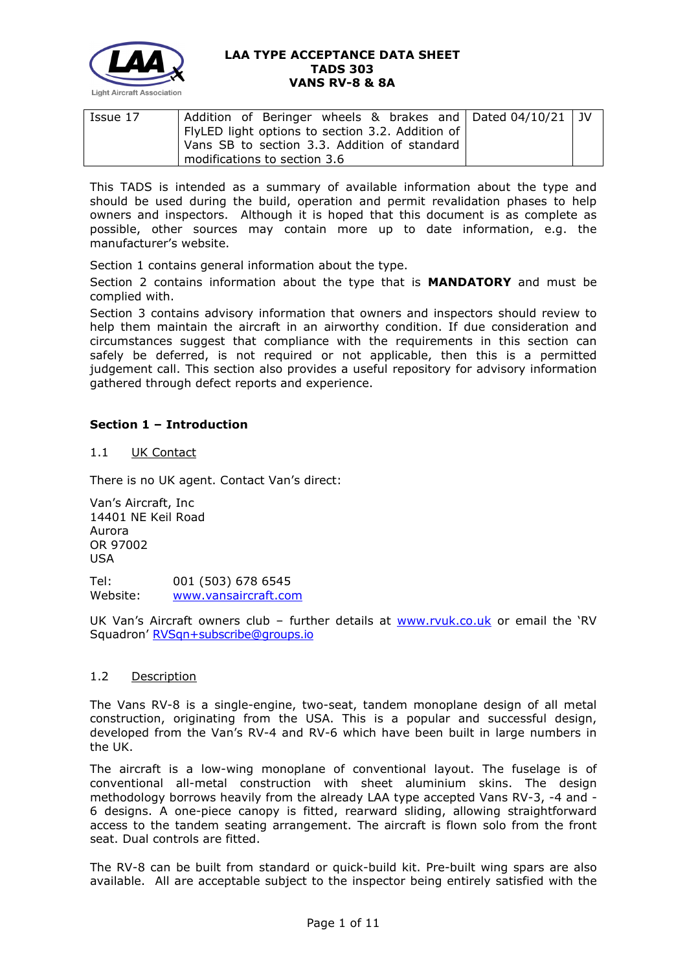

| Issue 17 | Addition of Beringer wheels & brakes and $\vert$ Dated 04/10/21 $\vert$ JV |  |  |  |
|----------|----------------------------------------------------------------------------|--|--|--|
|          | FlyLED light options to section 3.2. Addition of                           |  |  |  |
|          | Vans SB to section 3.3. Addition of standard                               |  |  |  |
|          | modifications to section 3.6                                               |  |  |  |

This TADS is intended as a summary of available information about the type and should be used during the build, operation and permit revalidation phases to help owners and inspectors. Although it is hoped that this document is as complete as possible, other sources may contain more up to date information, e.g. the manufacturer's website.

Section 1 contains general information about the type.

Section 2 contains information about the type that is **MANDATORY** and must be complied with.

Section 3 contains advisory information that owners and inspectors should review to help them maintain the aircraft in an airworthy condition. If due consideration and circumstances suggest that compliance with the requirements in this section can safely be deferred, is not required or not applicable, then this is a permitted judgement call. This section also provides a useful repository for advisory information gathered through defect reports and experience.

# **Section 1 – Introduction**

## 1.1 UK Contact

There is no UK agent. Contact Van's direct:

Van's Aircraft, Inc 14401 NE Keil Road Aurora OR 97002 USA Tel: 001 (503) 678 6545 Website: [www.vansaircraft.com](http://www.vansaircraft.com/)

UK Van's Aircraft owners club - further details at [www.rvuk.co.uk](http://www.rvuk.co.uk/) or email the 'RV Squadron' [RVSqn+subscribe@groups.io](mailto:RVSqn+subscribe@groups.io)

#### 1.2 Description

The Vans RV-8 is a single-engine, two-seat, tandem monoplane design of all metal construction, originating from the USA. This is a popular and successful design, developed from the Van's RV-4 and RV-6 which have been built in large numbers in the UK.

The aircraft is a low-wing monoplane of conventional layout. The fuselage is of conventional all-metal construction with sheet aluminium skins. The design methodology borrows heavily from the already LAA type accepted Vans RV-3, -4 and - 6 designs. A one-piece canopy is fitted, rearward sliding, allowing straightforward access to the tandem seating arrangement. The aircraft is flown solo from the front seat. Dual controls are fitted.

The RV-8 can be built from standard or quick-build kit. Pre-built wing spars are also available. All are acceptable subject to the inspector being entirely satisfied with the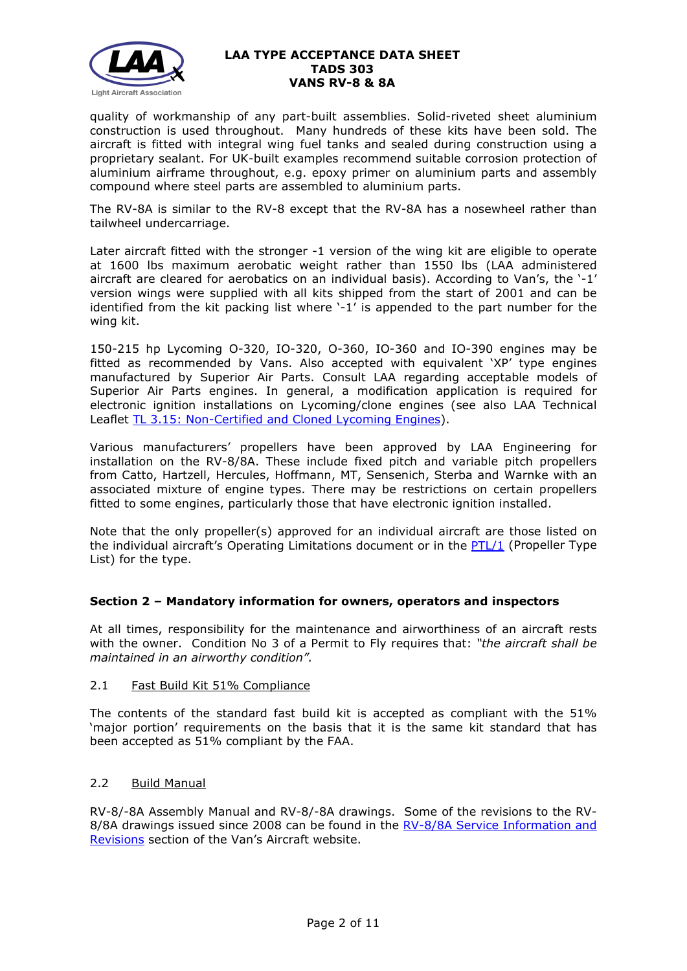

quality of workmanship of any part-built assemblies. Solid-riveted sheet aluminium construction is used throughout. Many hundreds of these kits have been sold. The aircraft is fitted with integral wing fuel tanks and sealed during construction using a proprietary sealant. For UK-built examples recommend suitable corrosion protection of aluminium airframe throughout, e.g. epoxy primer on aluminium parts and assembly compound where steel parts are assembled to aluminium parts.

The RV-8A is similar to the RV-8 except that the RV-8A has a nosewheel rather than tailwheel undercarriage.

Later aircraft fitted with the stronger -1 version of the wing kit are eligible to operate at 1600 lbs maximum aerobatic weight rather than 1550 lbs (LAA administered aircraft are cleared for aerobatics on an individual basis). According to Van's, the '-1' version wings were supplied with all kits shipped from the start of 2001 and can be identified from the kit packing list where '-1' is appended to the part number for the wing kit.

150-215 hp Lycoming O-320, IO-320, O-360, IO-360 and IO-390 engines may be fitted as recommended by Vans. Also accepted with equivalent 'XP' type engines manufactured by Superior Air Parts. Consult LAA regarding acceptable models of Superior Air Parts engines. In general, a modification application is required for electronic ignition installations on Lycoming/clone engines (see also LAA Technical Leaflet [TL 3.15: Non-Certified and Cloned](http://www.lightaircraftassociation.co.uk/engineering/TechnicalLeaflets/Mods%20and%20Repairs/TL%203.15%20Non-certified%20Lycoming%20Engines.pdf) Lycoming Engines).

Various manufacturers' propellers have been approved by LAA Engineering for installation on the RV-8/8A. These include fixed pitch and variable pitch propellers from Catto, Hartzell, Hercules, Hoffmann, MT, Sensenich, Sterba and Warnke with an associated mixture of engine types. There may be restrictions on certain propellers fitted to some engines, particularly those that have electronic ignition installed.

Note that the only propeller(s) approved for an individual aircraft are those listed on the individual aircraft's Operating Limitations document or in the [PTL/1](http://www.lightaircraftassociation.co.uk/engineering/NewMods/PTL.html) (Propeller Type List) for the type.

## **Section 2 – Mandatory information for owners, operators and inspectors**

At all times, responsibility for the maintenance and airworthiness of an aircraft rests with the owner. Condition No 3 of a Permit to Fly requires that: *"the aircraft shall be maintained in an airworthy condition".* 

## 2.1 Fast Build Kit 51% Compliance

The contents of the standard fast build kit is accepted as compliant with the 51% 'major portion' requirements on the basis that it is the same kit standard that has been accepted as 51% compliant by the FAA.

## 2.2 Build Manual

RV-8/-8A Assembly Manual and RV-8/-8A drawings. Some of the revisions to the RV-8/8A drawings issued since 2008 can be found in the [RV-8/8A Service Information and](https://www.vansaircraft.com/service-information-and-revisions/?aircraft=rv-8&doctype=all&sort=date)  [Revisions](https://www.vansaircraft.com/service-information-and-revisions/?aircraft=rv-8&doctype=all&sort=date) section of the Van's Aircraft website.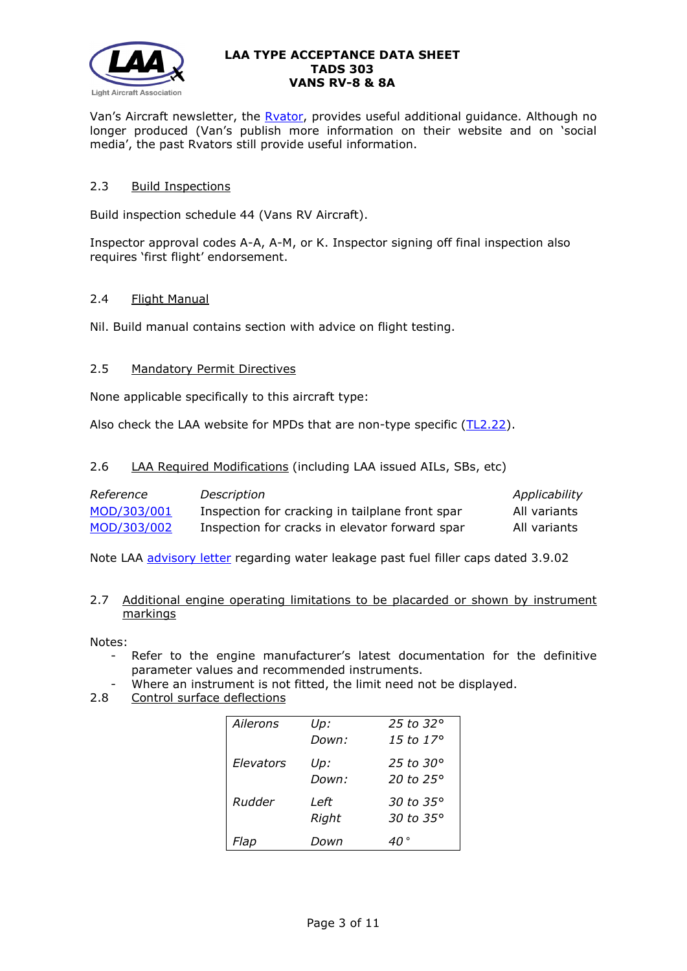

Van's Aircraft newsletter, the **Rvator**, provides useful additional guidance. Although no longer produced (Van's publish more information on their website and on 'social media', the past Rvators still provide useful information.

# 2.3 Build Inspections

Build inspection schedule 44 (Vans RV Aircraft).

Inspector approval codes A-A, A-M, or K. Inspector signing off final inspection also requires 'first flight' endorsement.

## 2.4 Flight Manual

Nil. Build manual contains section with advice on flight testing.

# 2.5 Mandatory Permit Directives

None applicable specifically to this aircraft type:

Also check the LAA website for MPDs that are non-type specific [\(TL2.22\)](http://www.lightaircraftassociation.co.uk/engineering/TechnicalLeaflets/Operating%20An%20Aircraft/TL%202.22%20non-type%20specific%20MPDs.pdf).

2.6 LAA Required Modifications (including LAA issued AILs, SBs, etc)

| Reference   | Description                                     | Applicability |
|-------------|-------------------------------------------------|---------------|
| MOD/303/001 | Inspection for cracking in tailplane front spar | All variants  |
| MOD/303/002 | Inspection for cracks in elevator forward spar  | All variants  |

Note LAA [advisory letter](http://www.lightaircraftassociation.co.uk/engineering/TADs/303/VANS%20FILLER%20CAPS.pdf) regarding water leakage past fuel filler caps dated 3.9.02

# 2.7 Additional engine operating limitations to be placarded or shown by instrument markings

Notes:

- Refer to the engine manufacturer's latest documentation for the definitive parameter values and recommended instruments.
- Where an instrument is not fitted, the limit need not be displayed.
- 2.8 Control surface deflections

| Ailerons  | Up:   | 25 to 32 $^{\circ}$ |
|-----------|-------|---------------------|
|           | Down: | 15 to 17°           |
| Elevators | Up:   | 25 to 30 $^{\circ}$ |
|           | Down: | 20 to 25°           |
| Rudder    | Left  | 30 to 35°           |
|           | Right | 30 to 35°           |
| Flap      | Down  |                     |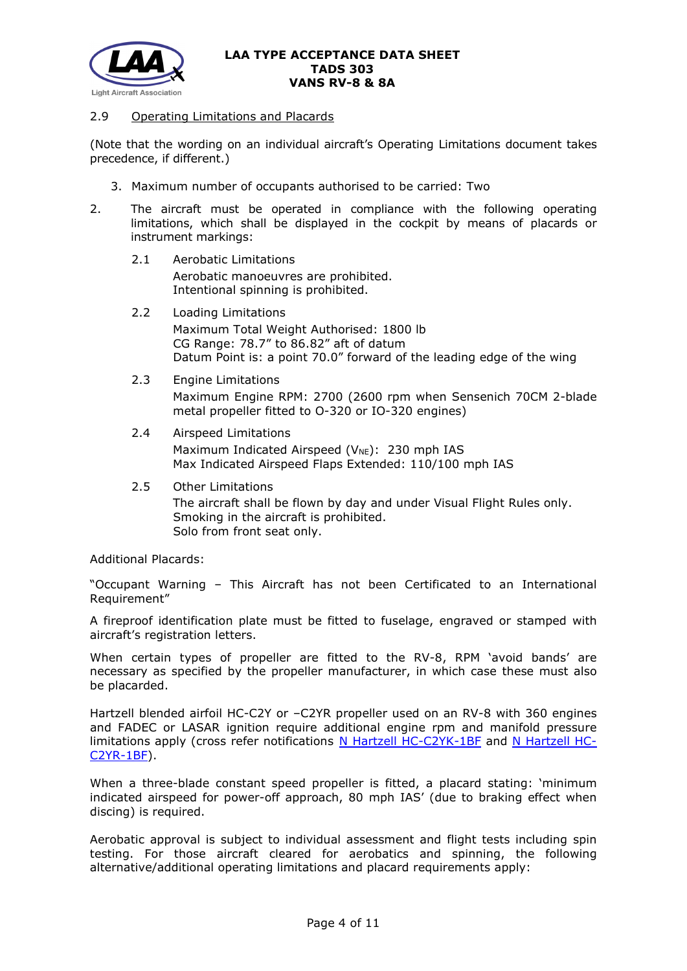

#### 2.9 Operating Limitations and Placards

(Note that the wording on an individual aircraft's Operating Limitations document takes precedence, if different.)

- 3. Maximum number of occupants authorised to be carried: Two
- 2. The aircraft must be operated in compliance with the following operating limitations, which shall be displayed in the cockpit by means of placards or instrument markings:
	- 2.1 Aerobatic Limitations Aerobatic manoeuvres are prohibited. Intentional spinning is prohibited.
	- 2.2 Loading Limitations Maximum Total Weight Authorised: 1800 lb CG Range: 78.7" to 86.82" aft of datum Datum Point is: a point 70.0" forward of the leading edge of the wing
	- 2.3 Engine Limitations Maximum Engine RPM: 2700 (2600 rpm when Sensenich 70CM 2-blade metal propeller fitted to O-320 or IO-320 engines)
	- 2.4 Airspeed Limitations Maximum Indicated Airspeed ( $V_{NE}$ ): 230 mph IAS Max Indicated Airspeed Flaps Extended: 110/100 mph IAS
	- 2.5 Other Limitations The aircraft shall be flown by day and under Visual Flight Rules only. Smoking in the aircraft is prohibited. Solo from front seat only.

Additional Placards:

"Occupant Warning – This Aircraft has not been Certificated to an International Requirement"

A fireproof identification plate must be fitted to fuselage, engraved or stamped with aircraft's registration letters.

When certain types of propeller are fitted to the RV-8, RPM 'avoid bands' are necessary as specified by the propeller manufacturer, in which case these must also be placarded.

Hartzell blended airfoil HC-C2Y or –C2YR propeller used on an RV-8 with 360 engines and FADEC or LASAR ignition require additional engine rpm and manifold pressure limitations apply (cross refer notifications [N Hartzell HC-C2YK-1BF](http://www.lightaircraftassociation.co.uk/engineering/TADs/303/Hartzell_c2yr.pdf) and [N Hartzell HC-](http://www.lightaircraftassociation.co.uk/engineering/TADs/303/Hartzell_c2yk.pdf)[C2YR-1BF\)](http://www.lightaircraftassociation.co.uk/engineering/TADs/303/Hartzell_c2yk.pdf).

When a three-blade constant speed propeller is fitted, a placard stating: 'minimum indicated airspeed for power-off approach, 80 mph IAS' (due to braking effect when discing) is required.

Aerobatic approval is subject to individual assessment and flight tests including spin testing. For those aircraft cleared for aerobatics and spinning, the following alternative/additional operating limitations and placard requirements apply: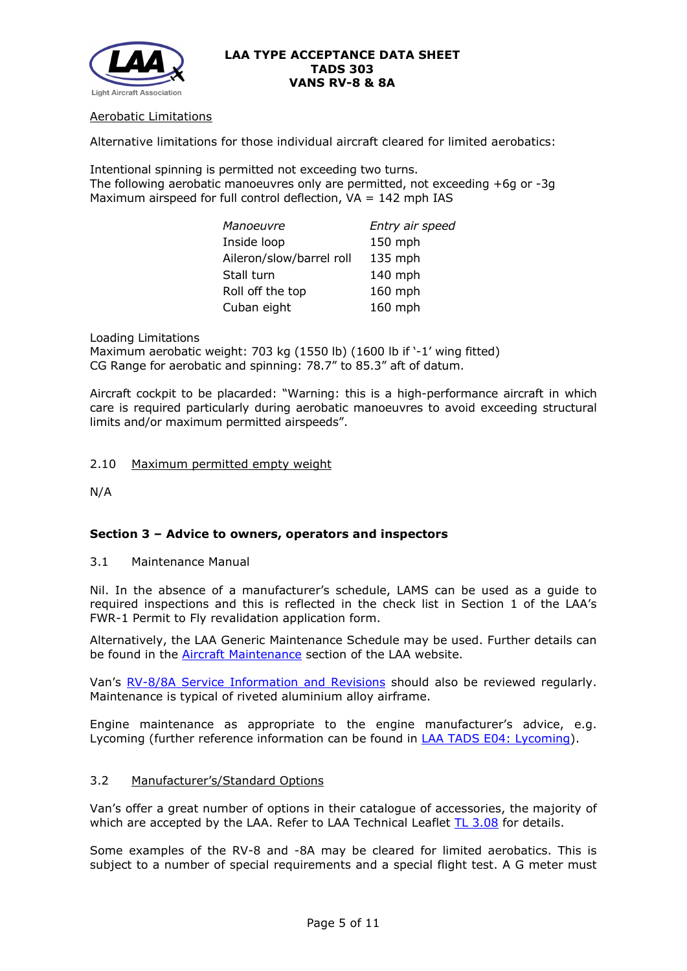

## Aerobatic Limitations

Alternative limitations for those individual aircraft cleared for limited aerobatics:

Intentional spinning is permitted not exceeding two turns. The following aerobatic manoeuvres only are permitted, not exceeding +6g or -3g Maximum airspeed for full control deflection,  $VA = 142$  mph IAS

| Manoeuvre                | Entry air speed |
|--------------------------|-----------------|
| Inside loop              | 150 mph         |
| Aileron/slow/barrel roll | 135 mph         |
| Stall turn               | 140 mph         |
| Roll off the top         | 160 mph         |
| Cuban eight              | 160 mph         |

Loading Limitations Maximum aerobatic weight: 703 kg (1550 lb) (1600 lb if '-1' wing fitted) CG Range for aerobatic and spinning: 78.7" to 85.3" aft of datum.

Aircraft cockpit to be placarded: "Warning: this is a high-performance aircraft in which care is required particularly during aerobatic manoeuvres to avoid exceeding structural limits and/or maximum permitted airspeeds".

2.10 Maximum permitted empty weight

N/A

## **Section 3 – Advice to owners, operators and inspectors**

3.1 Maintenance Manual

Nil. In the absence of a manufacturer's schedule, LAMS can be used as a guide to required inspections and this is reflected in the check list in Section 1 of the LAA's FWR-1 Permit to Fly revalidation application form.

Alternatively, the LAA Generic Maintenance Schedule may be used. Further details can be found in the [Aircraft Maintenance](http://www.lightaircraftassociation.co.uk/engineering/Maintenance/Aircraft_Maintenance.html) section of the LAA website.

Van's [RV-8/8A Service Information and Revisions](https://www.vansaircraft.com/service-information-and-revisions/?aircraft=rv-8&doctype=all&sort=date) should also be reviewed regularly. Maintenance is typical of riveted aluminium alloy airframe.

Engine maintenance as appropriate to the engine manufacturer's advice, e.g. Lycoming (further reference information can be found in LAA [TADS E04: Lycoming\)](http://www.lightaircraftassociation.co.uk/engineering/TADs/E04%20LYCOMING.pdf).

#### 3.2 Manufacturer's/Standard Options

Van's offer a great number of options in their catalogue of accessories, the majority of which are accepted by the LAA. Refer to LAA Technical Leaflet  $TL\ 3.08$  for details.

Some examples of the RV-8 and -8A may be cleared for limited aerobatics. This is subject to a number of special requirements and a special flight test. A G meter must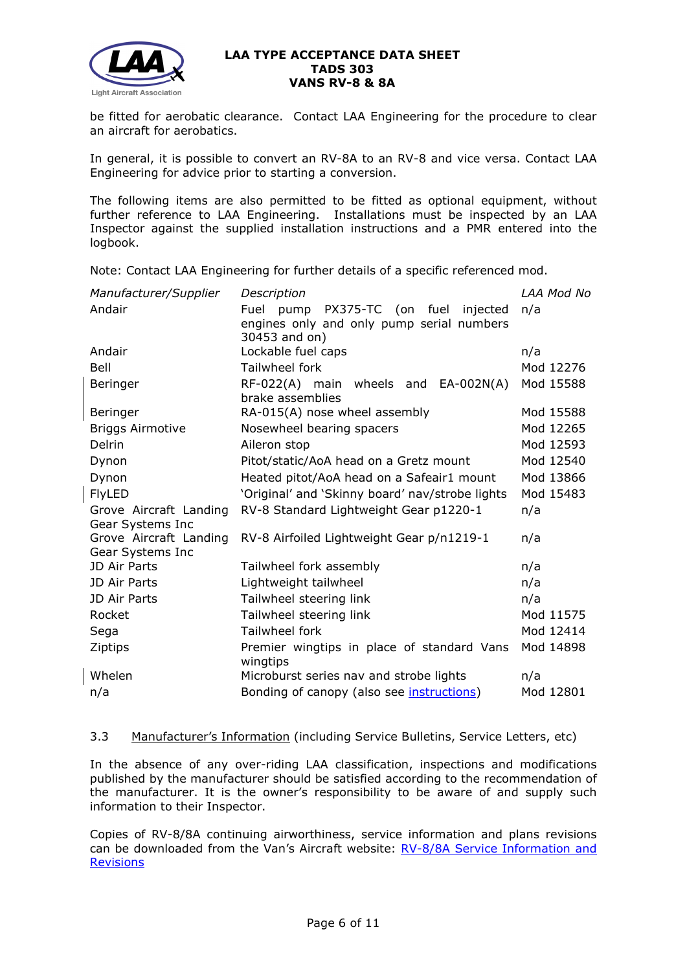

be fitted for aerobatic clearance. Contact LAA Engineering for the procedure to clear an aircraft for aerobatics.

In general, it is possible to convert an RV-8A to an RV-8 and vice versa. Contact LAA Engineering for advice prior to starting a conversion.

The following items are also permitted to be fitted as optional equipment, without further reference to LAA Engineering. Installations must be inspected by an LAA Inspector against the supplied installation instructions and a PMR entered into the logbook.

Note: Contact LAA Engineering for further details of a specific referenced mod.

| Manufacturer/Supplier   | LAA Mod No<br>Description                              |           |  |  |
|-------------------------|--------------------------------------------------------|-----------|--|--|
| Andair                  | Fuel<br>PX375-TC (on fuel injected<br>pump             | n/a       |  |  |
|                         | engines only and only pump serial numbers              |           |  |  |
|                         | 30453 and on)                                          |           |  |  |
| Andair                  | Lockable fuel caps                                     | n/a       |  |  |
| Bell                    | Tailwheel fork                                         | Mod 12276 |  |  |
| Beringer                | RF-022(A) main wheels and EA-002N(A)                   | Mod 15588 |  |  |
|                         | brake assemblies                                       |           |  |  |
| Beringer                | RA-015(A) nose wheel assembly                          | Mod 15588 |  |  |
| <b>Briggs Airmotive</b> | Nosewheel bearing spacers                              | Mod 12265 |  |  |
| Delrin                  | Aileron stop                                           | Mod 12593 |  |  |
| Dynon                   | Pitot/static/AoA head on a Gretz mount                 | Mod 12540 |  |  |
| Dynon                   | Heated pitot/AoA head on a Safeair1 mount              | Mod 13866 |  |  |
| <b>FlyLED</b>           | 'Original' and 'Skinny board' nav/strobe lights        | Mod 15483 |  |  |
| Grove Aircraft Landing  | RV-8 Standard Lightweight Gear p1220-1                 | n/a       |  |  |
| Gear Systems Inc        |                                                        |           |  |  |
| Grove Aircraft Landing  | RV-8 Airfoiled Lightweight Gear p/n1219-1              | n/a       |  |  |
| Gear Systems Inc        |                                                        |           |  |  |
| JD Air Parts            | Tailwheel fork assembly                                | n/a       |  |  |
| JD Air Parts            | Lightweight tailwheel                                  | n/a       |  |  |
| JD Air Parts            | Tailwheel steering link                                | n/a       |  |  |
| Rocket                  | Tailwheel steering link                                | Mod 11575 |  |  |
| Sega                    | Tailwheel fork                                         | Mod 12414 |  |  |
| Ziptips                 | Premier wingtips in place of standard Vans<br>wingtips | Mod 14898 |  |  |
| Whelen                  | Microburst series nav and strobe lights                | n/a       |  |  |
| n/a                     | Bonding of canopy (also see <i>instructions</i> )      | Mod 12801 |  |  |

## 3.3 Manufacturer's Information (including Service Bulletins, Service Letters, etc)

In the absence of any over-riding LAA classification, inspections and modifications published by the manufacturer should be satisfied according to the recommendation of the manufacturer. It is the owner's responsibility to be aware of and supply such information to their Inspector.

Copies of RV-8/8A continuing airworthiness, service information and plans revisions can be downloaded from the Van's Aircraft website: RV-8/8A Service Information and [Revisions](https://www.vansaircraft.com/service-information-and-revisions/?aircraft=rv-8&doctype=all&sort=date)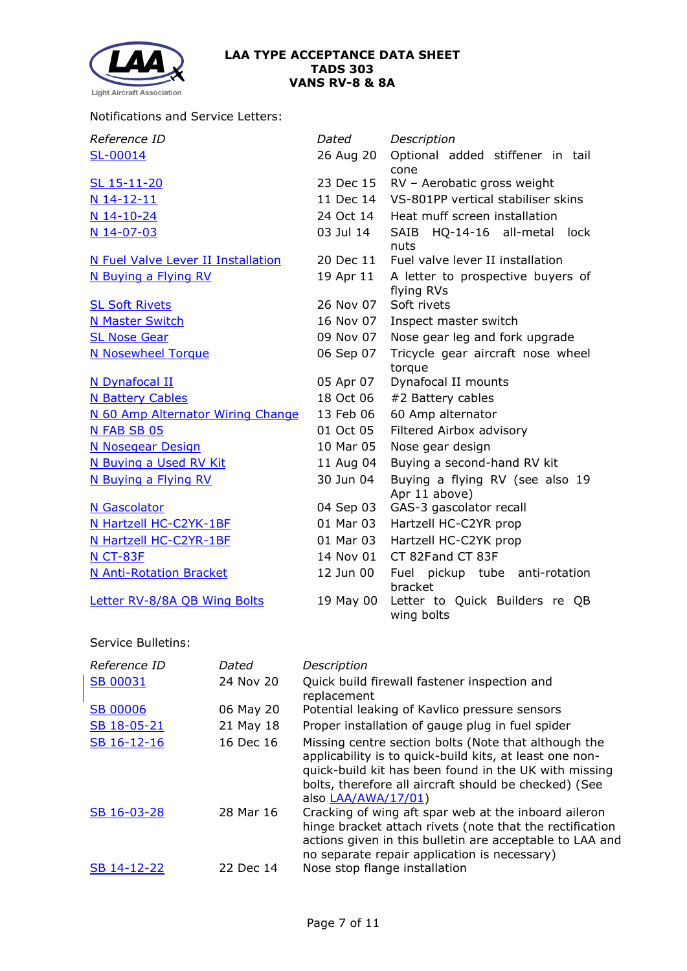

## Notifications and Service Letters:

| Reference ID                       | Dated     | Description                                      |  |
|------------------------------------|-----------|--------------------------------------------------|--|
| SL-00014                           | 26 Aug 20 | Optional added stiffener in tail<br>cone         |  |
| SL 15-11-20                        | 23 Dec 15 | RV - Aerobatic gross weight                      |  |
| N 14-12-11                         | 11 Dec 14 | VS-801PP vertical stabiliser skins               |  |
| N 14-10-24                         | 24 Oct 14 | Heat muff screen installation                    |  |
| N 14-07-03                         | 03 Jul 14 | SAIB HQ-14-16 all-metal lock<br>nuts             |  |
| N Fuel Valve Lever II Installation | 20 Dec 11 | Fuel valve lever II installation                 |  |
| N Buying a Flying RV               | 19 Apr 11 | A letter to prospective buyers of<br>flying RVs  |  |
| <b>SL Soft Rivets</b>              | 26 Nov 07 | Soft rivets                                      |  |
| <b>N Master Switch</b>             | 16 Nov 07 | Inspect master switch                            |  |
| <b>SL Nose Gear</b>                | 09 Nov 07 | Nose gear leg and fork upgrade                   |  |
| <b>N Nosewheel Torque</b>          | 06 Sep 07 | Tricycle gear aircraft nose wheel<br>torque      |  |
| N Dynafocal II                     | 05 Apr 07 | Dynafocal II mounts                              |  |
| <b>N Battery Cables</b>            | 18 Oct 06 | #2 Battery cables                                |  |
| N 60 Amp Alternator Wiring Change  | 13 Feb 06 | 60 Amp alternator                                |  |
| N FAB SB 05                        | 01 Oct 05 | Filtered Airbox advisory                         |  |
| <b>N Nosegear Design</b>           | 10 Mar 05 | Nose gear design                                 |  |
| N Buying a Used RV Kit             | 11 Aug 04 | Buying a second-hand RV kit                      |  |
| N Buying a Flying RV               | 30 Jun 04 | Buying a flying RV (see also 19<br>Apr 11 above) |  |
| <b>N</b> Gascolator                | 04 Sep 03 | GAS-3 gascolator recall                          |  |
| N Hartzell HC-C2YK-1BF             | 01 Mar 03 | Hartzell HC-C2YR prop                            |  |
| N Hartzell HC-C2YR-1BF             | 01 Mar 03 | Hartzell HC-C2YK prop                            |  |
| <b>N CT-83F</b>                    | 14 Nov 01 | CT 82Fand CT 83F                                 |  |
| <b>N Anti-Rotation Bracket</b>     | 12 Jun 00 | Fuel pickup tube anti-rotation<br>bracket        |  |
| Letter RV-8/8A QB Wing Bolts       | 19 May 00 | Letter to Quick Builders re QB<br>wing bolts     |  |

## Service Bulletins:

| Reference ID    | Dated     | Description                                                                                                                                                                                                                                              |
|-----------------|-----------|----------------------------------------------------------------------------------------------------------------------------------------------------------------------------------------------------------------------------------------------------------|
| <b>SB 00031</b> | 24 Nov 20 | Quick build firewall fastener inspection and<br>replacement                                                                                                                                                                                              |
| <b>SB 00006</b> | 06 May 20 | Potential leaking of Kavlico pressure sensors                                                                                                                                                                                                            |
| SB 18-05-21     | 21 May 18 | Proper installation of gauge plug in fuel spider                                                                                                                                                                                                         |
| SB 16-12-16     | 16 Dec 16 | Missing centre section bolts (Note that although the<br>applicability is to quick-build kits, at least one non-<br>quick-build kit has been found in the UK with missing<br>bolts, therefore all aircraft should be checked) (See<br>also LAA/AWA/17/01) |
| SB 16-03-28     | 28 Mar 16 | Cracking of wing aft spar web at the inboard aileron<br>hinge bracket attach rivets (note that the rectification<br>actions given in this bulletin are acceptable to LAA and<br>no separate repair application is necessary)                             |
| SB 14-12-22     | 22 Dec 14 | Nose stop flange installation                                                                                                                                                                                                                            |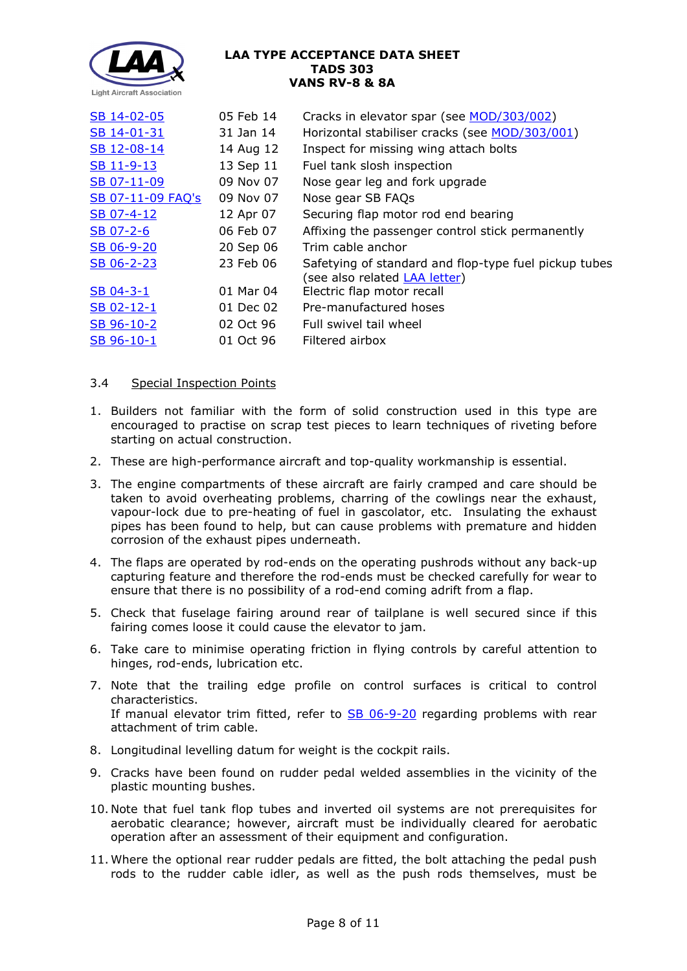

| SB 14-02-05       | 05 Feb 14 | Cracks in elevator spar (see MOD/303/002)                                                     |
|-------------------|-----------|-----------------------------------------------------------------------------------------------|
| SB 14-01-31       | 31 Jan 14 | Horizontal stabiliser cracks (see MOD/303/001)                                                |
| SB 12-08-14       | 14 Aug 12 | Inspect for missing wing attach bolts                                                         |
| SB 11-9-13        | 13 Sep 11 | Fuel tank slosh inspection                                                                    |
| SB 07-11-09       | 09 Nov 07 | Nose gear leg and fork upgrade                                                                |
| SB 07-11-09 FAQ's | 09 Nov 07 | Nose gear SB FAQs                                                                             |
| SB 07-4-12        | 12 Apr 07 | Securing flap motor rod end bearing                                                           |
| SB 07-2-6         | 06 Feb 07 | Affixing the passenger control stick permanently                                              |
| SB 06-9-20        | 20 Sep 06 | Trim cable anchor                                                                             |
| SB 06-2-23        | 23 Feb 06 | Safetying of standard and flop-type fuel pickup tubes<br>(see also related <b>LAA letter)</b> |
| SB 04-3-1         | 01 Mar 04 | Electric flap motor recall                                                                    |
| SB 02-12-1        | 01 Dec 02 | Pre-manufactured hoses                                                                        |
| SB 96-10-2        | 02 Oct 96 | Full swivel tail wheel                                                                        |
| SB 96-10-1        | 01 Oct 96 | Filtered airbox                                                                               |

# 3.4 Special Inspection Points

- 1. Builders not familiar with the form of solid construction used in this type are encouraged to practise on scrap test pieces to learn techniques of riveting before starting on actual construction.
- 2. These are high-performance aircraft and top-quality workmanship is essential.
- 3. The engine compartments of these aircraft are fairly cramped and care should be taken to avoid overheating problems, charring of the cowlings near the exhaust, vapour-lock due to pre-heating of fuel in gascolator, etc. Insulating the exhaust pipes has been found to help, but can cause problems with premature and hidden corrosion of the exhaust pipes underneath.
- 4. The flaps are operated by rod-ends on the operating pushrods without any back-up capturing feature and therefore the rod-ends must be checked carefully for wear to ensure that there is no possibility of a rod-end coming adrift from a flap.
- 5. Check that fuselage fairing around rear of tailplane is well secured since if this fairing comes loose it could cause the elevator to jam.
- 6. Take care to minimise operating friction in flying controls by careful attention to hinges, rod-ends, lubrication etc.
- 7. Note that the trailing edge profile on control surfaces is critical to control characteristics. If manual elevator trim fitted, refer to [SB 06-9-20](http://www.lightaircraftassociation.co.uk/engineering/TADs/303/sb06-9-20.pdf) regarding problems with rear attachment of trim cable.
- 8. Longitudinal levelling datum for weight is the cockpit rails.
- 9. Cracks have been found on rudder pedal welded assemblies in the vicinity of the plastic mounting bushes.
- 10. Note that fuel tank flop tubes and inverted oil systems are not prerequisites for aerobatic clearance; however, aircraft must be individually cleared for aerobatic operation after an assessment of their equipment and configuration.
- 11. Where the optional rear rudder pedals are fitted, the bolt attaching the pedal push rods to the rudder cable idler, as well as the push rods themselves, must be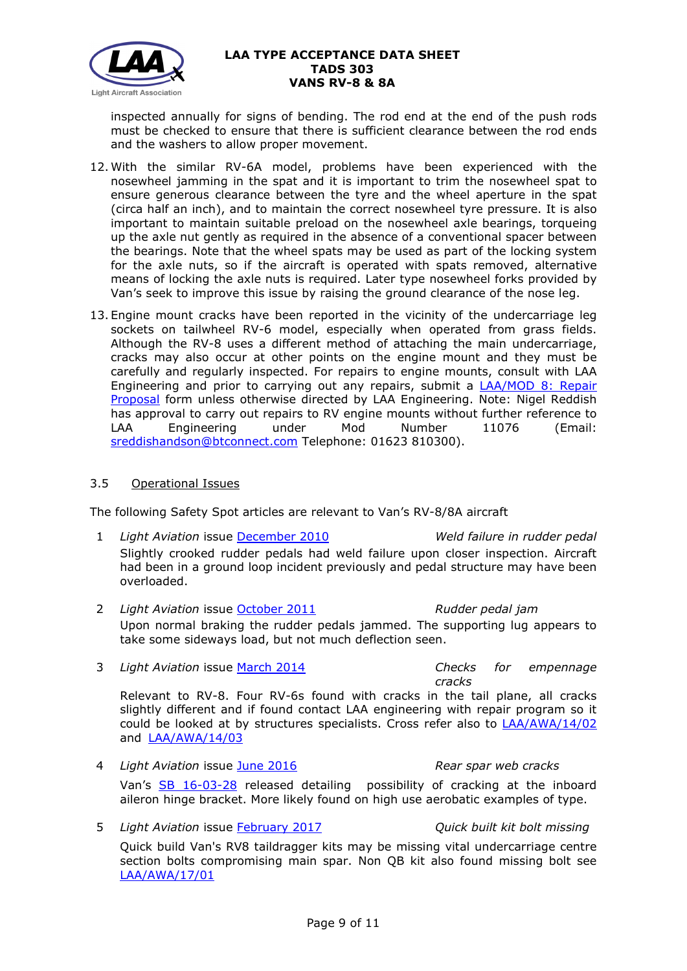

inspected annually for signs of bending. The rod end at the end of the push rods must be checked to ensure that there is sufficient clearance between the rod ends and the washers to allow proper movement.

- 12. With the similar RV-6A model, problems have been experienced with the nosewheel jamming in the spat and it is important to trim the nosewheel spat to ensure generous clearance between the tyre and the wheel aperture in the spat (circa half an inch), and to maintain the correct nosewheel tyre pressure. It is also important to maintain suitable preload on the nosewheel axle bearings, torqueing up the axle nut gently as required in the absence of a conventional spacer between the bearings. Note that the wheel spats may be used as part of the locking system for the axle nuts, so if the aircraft is operated with spats removed, alternative means of locking the axle nuts is required. Later type nosewheel forks provided by Van's seek to improve this issue by raising the ground clearance of the nose leg.
- 13. Engine mount cracks have been reported in the vicinity of the undercarriage leg sockets on tailwheel RV-6 model, especially when operated from grass fields. Although the RV-8 uses a different method of attaching the main undercarriage, cracks may also occur at other points on the engine mount and they must be carefully and regularly inspected. For repairs to engine mounts, consult with LAA Engineering and prior to carrying out any repairs, submit a LAA/MOD [8: Repair](http://www.lightaircraftassociation.co.uk/engineering/StandardForms/LAA-MOD%208%20-%20Repair.pdf)  [Proposal](http://www.lightaircraftassociation.co.uk/engineering/StandardForms/LAA-MOD%208%20-%20Repair.pdf) form unless otherwise directed by LAA Engineering. Note: Nigel Reddish has approval to carry out repairs to RV engine mounts without further reference to LAA Engineering under Mod Number 11076 (Email: [sreddishandson@btconnect.com](mailto:sreddishandson@btconnect.com) Telephone: 01623 810300).

## 3.5 Operational Issues

The following Safety Spot articles are relevant to Van's RV-8/8A aircraft

- 1 *Light Aviation* issue [December 2010](http://www.lightaircraftassociation.co.uk/2010/Magazine/2010/Dec/safety_spot_dec_10.pdf) *Weld failure in rudder pedal* Slightly crooked rudder pedals had weld failure upon closer inspection. Aircraft had been in a ground loop incident previously and pedal structure may have been overloaded.
- 2 *Light Aviation* issue [October 2011](http://www.lightaircraftassociation.co.uk/2011/Magazine/Oct/Safety%20Spot%20Oct.pdf) *Rudder pedal jam* Upon normal braking the rudder pedals jammed. The supporting lug appears to take some sideways load, but not much deflection seen.
- 3 *Light Aviation* issue [March 2014](http://www.lightaircraftassociation.co.uk/2014/Mag/Mar/safetyspot_mar.pdf) *Checks for empennage*

and [LAA/AWA/14/03](http://www.lightaircraftassociation.co.uk/MM/LAA%20AWA%2014%2003.pdf)

*cracks* Relevant to RV-8. Four RV-6s found with cracks in the tail plane, all cracks slightly different and if found contact LAA engineering with repair program so it could be looked at by structures specialists. Cross refer also to [LAA/AWA/14/02](http://www.lightaircraftassociation.co.uk/MM/LAA%20AWA%2014%2002.pdf)

- 4 *Light Aviation* issue [June 2016](http://www.lightaircraftassociation.co.uk/2016/Magazine/June/safety_spot.pdf) *Rear spar web cracks* Van's [SB 16-03-28](https://lightaircraftassociation.co.uk/Engineering/s/TADS/323/sb16-03-28.pdf) released detailing possibility of cracking at the inboard aileron hinge bracket. More likely found on high use aerobatic examples of type.
- 5 *Light Aviation* issue [February 2017](http://www.lightaircraftassociation.co.uk/2017/Magazine/Feb/safety_spot.pdf) *Quick built kit bolt missing* Quick build Van's RV8 taildragger kits may be missing vital undercarriage centre section bolts compromising main spar. Non QB kit also found missing bolt see [LAA/AWA/17/01](http://www.lightaircraftassociation.co.uk/engineering/TADs/303/RV8%20missing%20bolts.pdf)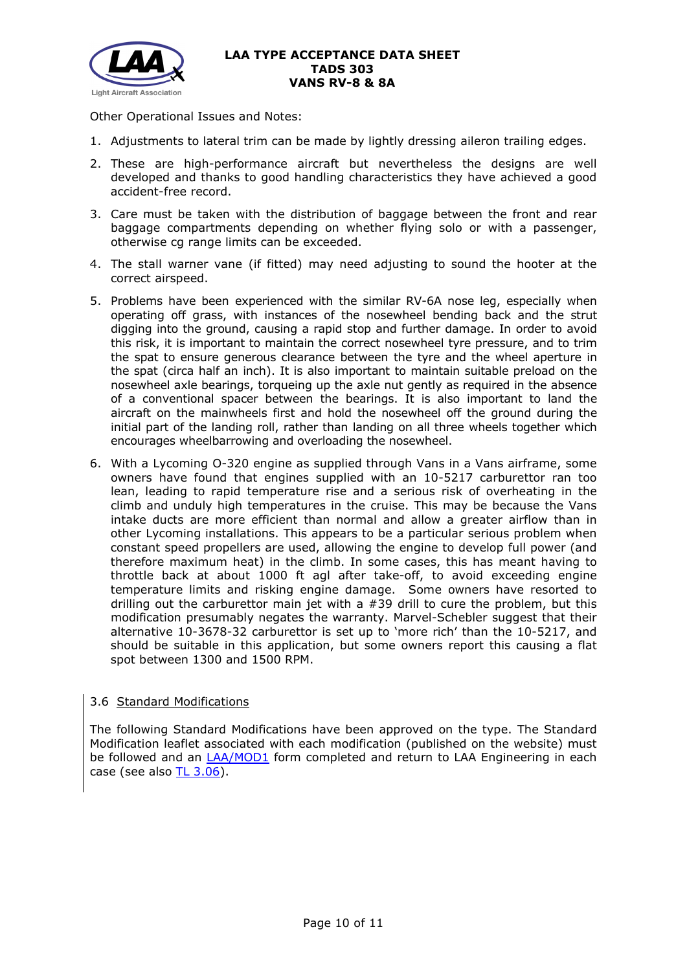

Other Operational Issues and Notes:

- 1. Adjustments to lateral trim can be made by lightly dressing aileron trailing edges.
- 2. These are high-performance aircraft but nevertheless the designs are well developed and thanks to good handling characteristics they have achieved a good accident-free record.
- 3. Care must be taken with the distribution of baggage between the front and rear baggage compartments depending on whether flying solo or with a passenger, otherwise cg range limits can be exceeded.
- 4. The stall warner vane (if fitted) may need adjusting to sound the hooter at the correct airspeed.
- 5. Problems have been experienced with the similar RV-6A nose leg, especially when operating off grass, with instances of the nosewheel bending back and the strut digging into the ground, causing a rapid stop and further damage. In order to avoid this risk, it is important to maintain the correct nosewheel tyre pressure, and to trim the spat to ensure generous clearance between the tyre and the wheel aperture in the spat (circa half an inch). It is also important to maintain suitable preload on the nosewheel axle bearings, torqueing up the axle nut gently as required in the absence of a conventional spacer between the bearings. It is also important to land the aircraft on the mainwheels first and hold the nosewheel off the ground during the initial part of the landing roll, rather than landing on all three wheels together which encourages wheelbarrowing and overloading the nosewheel.
- 6. With a Lycoming O-320 engine as supplied through Vans in a Vans airframe, some owners have found that engines supplied with an 10-5217 carburettor ran too lean, leading to rapid temperature rise and a serious risk of overheating in the climb and unduly high temperatures in the cruise. This may be because the Vans intake ducts are more efficient than normal and allow a greater airflow than in other Lycoming installations. This appears to be a particular serious problem when constant speed propellers are used, allowing the engine to develop full power (and therefore maximum heat) in the climb. In some cases, this has meant having to throttle back at about 1000 ft agl after take-off, to avoid exceeding engine temperature limits and risking engine damage. Some owners have resorted to drilling out the carburettor main jet with a  $#39$  drill to cure the problem, but this modification presumably negates the warranty. Marvel-Schebler suggest that their alternative 10-3678-32 carburettor is set up to 'more rich' than the 10-5217, and should be suitable in this application, but some owners report this causing a flat spot between 1300 and 1500 RPM.

# 3.6 Standard Modifications

The following Standard Modifications have been approved on the type. The Standard Modification leaflet associated with each modification (published on the website) must be followed and an [LAA/MOD1](http://www.lightaircraftassociation.co.uk/engineering/StandardForms/LAA-MOD%201%20-%20Standard%20Mod%20Incorporation.docx) form completed and return to LAA Engineering in each case (see also [TL 3.06\)](http://www.lightaircraftassociation.co.uk/engineering/TechnicalLeaflets/Mods%20and%20Repairs/TL%203.06%20Using%20an%20LAA%20Approved%20Standard%20Mod.pdf).